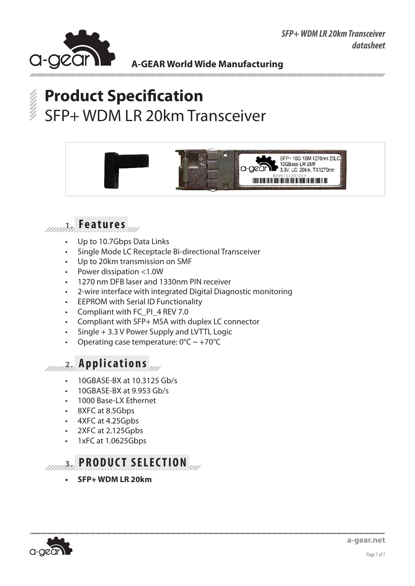



# **Product Specification** SFP+ WDM LR 20km Transceiver





- Up to 10.7Gbps Data Links
- Single Mode LC Receptacle Bi-directional Transceiver
- Up to 20km transmission on SMF
- Power dissipation <1.0W
- 1270 nm DFB laser and 1330nm PIN receiver
- 2-wire interface with integrated Digital Diagnostic monitoring
- • EEPROM with Serial ID Functionality
- Compliant with FC\_PI\_4 REV 7.0
- Compliant with SFP+ MSA with duplex LC connector
- $Single + 3.3 V$  Power Supply and LVTTL Logic
- Operating case temperature:  $0^{\circ}C \sim +70^{\circ}C$

## **2. Applications**

- 10GBASE-BX at 10.3125 Gb/s
- 10GBASE-BX at 9.953 Gb/s
- 1000 Base-LX Ethernet
- 8XFC at 8.5Gbps
- 4XFC at 4.25Gpbs
- 2XFC at 2.125Gpbs
- 1xFC at 1.0625Gbps



**SFP+ WDM LR 20km** 

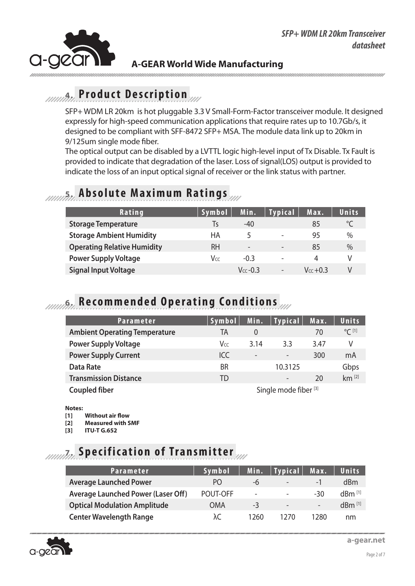

### **4. Product Description**

SFP+ WDM LR 20km is hot pluggable 3.3 V Small-Form-Factor transceiver module. It designed expressly for high-speed communication applications that require rates up to 10.7Gb/s, it designed to be compliant with SFF-8472 SFP+ MSA. The module data link up to 20km in 9/125um single mode fiber.

The optical output can be disabled by a LVTTL logic high-level input of Tx Disable. Tx Fault is provided to indicate that degradation of the laser. Loss of signal(LOS) output is provided to indicate the loss of an input optical signal of receiver or the link status with partner.

#### **5. Absolute Maximum Ratings**

| <b>Rating</b>                      | Symbol    | Min.                     | Typical ∥                | Max.          | Units |
|------------------------------------|-----------|--------------------------|--------------------------|---------------|-------|
| <b>Storage Temperature</b>         | l٢        | $-40$                    |                          | 85            |       |
| <b>Storage Ambient Humidity</b>    | НA        | 5                        | $\overline{\phantom{0}}$ | 95            | $\%$  |
| <b>Operating Relative Humidity</b> | <b>RH</b> | $\overline{\phantom{0}}$ | $\overline{\phantom{0}}$ | 85            | $\%$  |
| <b>Power Supply Voltage</b>        | Vcc       | $-0.3$                   | $\overline{\phantom{0}}$ | 4             |       |
| <b>Signal Input Voltage</b>        |           | $V_{cc}$ -0.3            | $\overline{\phantom{a}}$ | $V_{cc}$ +0.3 |       |

### **6. Recommended Operating Conditions**

| <b>Parameter</b>                                         | Symbol <sup>1</sup> | Min.                     | $\vert$ Typical $\vert$  | Max. | <b>Units</b>     |
|----------------------------------------------------------|---------------------|--------------------------|--------------------------|------|------------------|
| <b>Ambient Operating Temperature</b>                     | TA                  | $\theta$                 |                          | 70   | $^{\circ}$ C [1] |
| <b>Power Supply Voltage</b>                              | Vcc                 | 3.14                     | 3.3                      | 3.47 | V                |
| <b>Power Supply Current</b>                              | ICC                 | $\overline{\phantom{a}}$ | $\overline{\phantom{0}}$ | 300  | mA               |
| <b>Data Rate</b>                                         | <b>BR</b>           |                          | 10.3125                  |      | Gbps             |
| <b>Transmission Distance</b>                             | TD                  |                          |                          | 20   | $km$ [2]         |
| Single mode fiber <sup>[3]</sup><br><b>Coupled fiber</b> |                     |                          |                          |      |                  |

#### **Notes:**

- **[1] Without air flow**
- **[2] Measured with SMF**
- **[3] ITU-T G.652**

# **7. Specification of Transmitter**

| <b>Parameter</b>                          | Symbol   | Min.                     | <b>Typical</b>           | Max.                     | <b>Units</b>         |
|-------------------------------------------|----------|--------------------------|--------------------------|--------------------------|----------------------|
| <b>Average Launched Power</b>             | PO.      | -6                       | $\overline{\phantom{0}}$ | $\overline{\phantom{0}}$ | dBm                  |
| <b>Average Launched Power (Laser Off)</b> | POUT-OFF | $\overline{\phantom{a}}$ | $\overline{\phantom{0}}$ | -30                      | $dBm$ <sup>[1]</sup> |
| <b>Optical Modulation Amplitude</b>       | OMA      | $-3$                     | $\overline{\phantom{a}}$ | $\overline{\phantom{0}}$ | $dBm$ <sup>[1]</sup> |
| <b>Center Wavelength Range</b>            | λC       | 1260                     | 1270                     | 1280                     | nm                   |

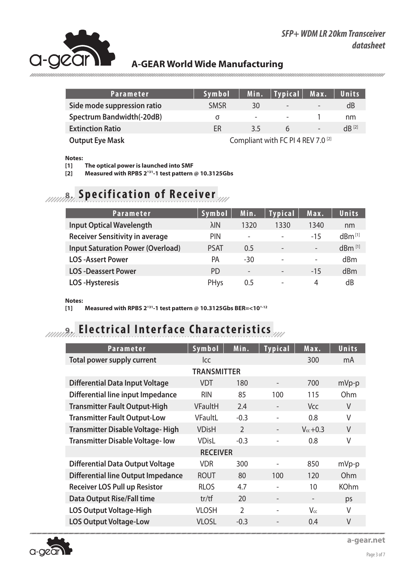

| <b>Parameter</b>                                                        | Symbol      | <b>Min.</b> | $ $ Typical $ $          | Max.                     | Units      |
|-------------------------------------------------------------------------|-------------|-------------|--------------------------|--------------------------|------------|
| Side mode suppression ratio                                             | <b>SMSR</b> | 30          | $\overline{\phantom{0}}$ | $\overline{\phantom{0}}$ | dB         |
| Spectrum Bandwidth(-20dB)                                               | σ           | ٠           | $\sim$                   |                          | nm         |
| <b>Extinction Ratio</b>                                                 | ER          | 3.5         | h                        | $\overline{\phantom{0}}$ | $dB^{[2]}$ |
| Compliant with FC PI 4 REV 7.0 <sup>[2]</sup><br><b>Output Eye Mask</b> |             |             |                          |                          |            |

**Notes:** 

**[1] The optical power is launched into SMF**

**[2] Measured with RPBS 2^31-1 test pattern @ 10.3125Gbs**

# **8.** *IMMA* **Specification of Receiver**

| <b>Parameter</b>                         | <b>Symbol</b> | Min.                     | <b>Typical</b> | Max.                     | Units                |
|------------------------------------------|---------------|--------------------------|----------------|--------------------------|----------------------|
| <b>Input Optical Wavelength</b>          | $\lambda$ IN  | 1320                     | 1330           | 1340                     | nm                   |
| <b>Receiver Sensitivity in average</b>   | <b>PIN</b>    | $\overline{\phantom{m}}$ |                | $-15$                    | $dBm^{[1]}$          |
| <b>Input Saturation Power (Overload)</b> | <b>PSAT</b>   | 0.5                      |                | $\overline{\phantom{a}}$ | $dBm$ <sup>[1]</sup> |
| <b>LOS-Assert Power</b>                  | <b>PA</b>     | $-30$                    | ٠              | $\overline{\phantom{a}}$ | dBm                  |
| <b>LOS-Deassert Power</b>                | <b>PD</b>     | $\overline{\phantom{a}}$ |                | $-15$                    | dBm                  |
| <b>LOS-Hysteresis</b>                    | PHys          | 0.5                      |                | 4                        | dB                   |

**Notes:** 

**[1] Measured with RPBS 2^31-1 test pattern @ 10.3125Gbs BER=<10^-12**

# **10.000 Electrical Interface Characteristics**

| Parameter                                 | Symbol         | Min.           | <b>Typical</b> | Max.          | Units       |
|-------------------------------------------|----------------|----------------|----------------|---------------|-------------|
| Total power supply current                | <b>Icc</b>     |                |                | 300           | mA          |
|                                           |                |                |                |               |             |
| <b>Differential Data Input Voltage</b>    | <b>VDT</b>     | 180            |                | 700           | $mVp-p$     |
| Differential line input Impedance         | <b>RIN</b>     | 85             | 100            | 115           | Ohm         |
| <b>Transmitter Fault Output-High</b>      | <b>VFaultH</b> | 2.4            |                | Vcc           | V           |
| <b>Transmitter Fault Output-Low</b>       | VFaultL        | $-0.3$         | ٠              | 0.8           | $\vee$      |
| <b>Transmitter Disable Voltage-High</b>   | <b>VDisH</b>   | $\mathfrak{D}$ |                | $V_{cc}$ +0.3 | V           |
| <b>Transmitter Disable Voltage-low</b>    | <b>VDisL</b>   | $-0.3$         |                | 0.8           | $\vee$      |
| <b>RECEIVER</b>                           |                |                |                |               |             |
| <b>Differential Data Output Voltage</b>   | <b>VDR</b>     | 300            |                | 850           | mVp-p       |
| <b>Differential line Output Impedance</b> | <b>ROUT</b>    | 80             | 100            | 120           | <b>Ohm</b>  |
| <b>Receiver LOS Pull up Resistor</b>      | <b>RLOS</b>    | 4.7            |                | 10            | <b>KOhm</b> |
| <b>Data Output Rise/Fall time</b>         | tr/tf          | 20             |                |               | ps          |
| <b>LOS Output Voltage-High</b>            | <b>VLOSH</b>   | $\overline{2}$ | ٠              | Vcc           | V           |
| <b>LOS Output Voltage-Low</b>             | <b>VLOSL</b>   | $-0.3$         |                | 0.4           | V           |



**a-gear.net**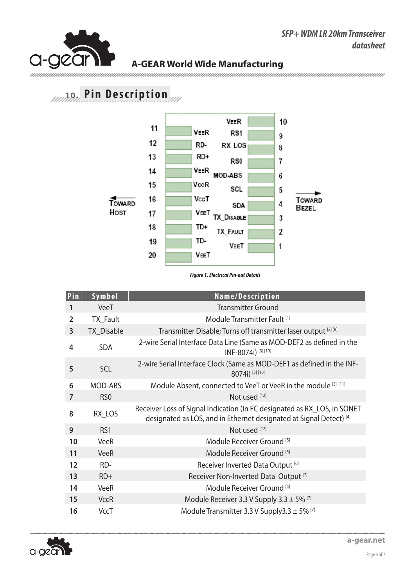

**XPBL-273396-10D Transceiver datasheet**

# **10. Pin Description 6. Pin Description**



**Figure 1. Electrical Pin-out Details** 

| Pin            | Symbol          | Name/Description                                                                                                                                |
|----------------|-----------------|-------------------------------------------------------------------------------------------------------------------------------------------------|
| 1              | VeeT            | <b>Transmitter Ground</b>                                                                                                                       |
| $\overline{2}$ | TX_Fault        | Module Transmitter Fault <sup>[1]</sup>                                                                                                         |
| 3              | TX_Disable      | Transmitter Disable; Turns off transmitter laser output [2] [9]                                                                                 |
| 4              | <b>SDA</b>      | 2-wire Serial Interface Data Line (Same as MOD-DEF2 as defined in the<br>INF-8074i) <sup>[3][10]</sup>                                          |
| 5              | SCL             | 2-wire Serial Interface Clock (Same as MOD-DEF1 as defined in the INF-<br>8074i) [3] [10]                                                       |
| 6              | MOD-ABS         | Module Absent, connected to VeeT or VeeR in the module [3] [11]                                                                                 |
| 7              | RS <sub>0</sub> | Not used [12]                                                                                                                                   |
| 8              | RX_LOS          | Receiver Loss of Signal Indication (In FC designated as RX_LOS, in SONET<br>designated as LOS, and in Ethernet designated at Signal Detect) [4] |
| 9              | RS <sub>1</sub> | Not used [12]                                                                                                                                   |
| 10             | VeeR            | Module Receiver Ground <sup>[5]</sup>                                                                                                           |
| 11             | <b>VeeR</b>     | Module Receiver Ground <sup>[5]</sup>                                                                                                           |
| 12             | RD-             | Receiver Inverted Data Output [6]                                                                                                               |
| 13             | $RD+$           | Receiver Non-Inverted Data Output <sup>[7]</sup>                                                                                                |
| 14             | <b>VeeR</b>     | Module Receiver Ground [5]                                                                                                                      |
| 15             | <b>VccR</b>     | Module Receiver 3.3 V Supply 3.3 $\pm$ 5% <sup>[7]</sup>                                                                                        |
| 16             | <b>VccT</b>     | Module Transmitter 3.3 V Supply 3.3 $\pm$ 5% <sup>[7]</sup>                                                                                     |

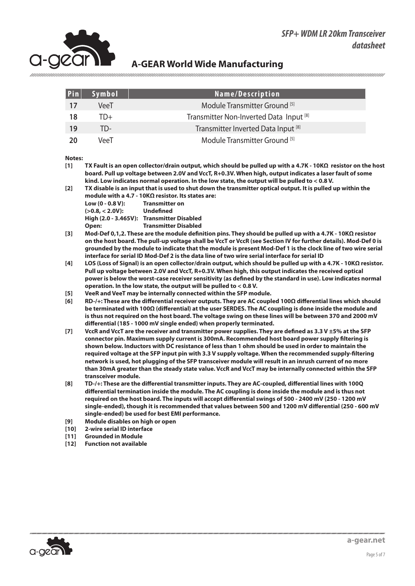#### *SFP+ WDM LR 20km Transceiver datasheet*



#### **A-GEAR World Wide Manufacturing**

| Pin | Symbol      | Name/Description                                   |
|-----|-------------|----------------------------------------------------|
| -17 | VeeT        | Module Transmitter Ground [5]                      |
| 18  | ID+         | Transmitter Non-Inverted Data Input <sup>[8]</sup> |
| 19  | TD-         | Transmitter Inverted Data Input <sup>[8]</sup>     |
| -20 | <b>VeeT</b> | Module Transmitter Ground [5]                      |

#### **Notes:**

- **[1] TX Fault is an open collector/drain output, which should be pulled up with a 4.7K 10KΩ resistor on the host board. Pull up voltage between 2.0V and VccT, R+0.3V. When high, output indicates a laser fault of some kind. Low indicates normal operation. In the low state, the output will be pulled to < 0.8 V.**
- **[2] TX disable is an input that is used to shut down the transmitter optical output. It is pulled up within the module with a 4.7 - 10KΩ resistor. Its states are: Low (0 - 0.8 V): Transmitter on (>0.8, < 2.0V): Undefined High (2.0 - 3.465V): Transmitter Disabled Open: Transmitter Disabled**
- **[3] Mod-Def 0,1,2. These are the module definition pins. They should be pulled up with a 4.7K 10KΩ resistor on the host board. The pull-up voltage shall be VccT or VccR (see Section IV for further details). Mod-Def 0 is grounded by the module to indicate that the module is present Mod-Def 1 is the clock line of two wire serial interface for serial ID Mod-Def 2 is the data line of two wire serial interface for serial ID**
- **[4] LOS (Loss of Signal) is an open collector/drain output, which should be pulled up with a 4.7K 10KΩ resistor. Pull up voltage between 2.0V and VccT, R+0.3V. When high, this output indicates the received optical power is below the worst-case receiver sensitivity (as defined by the standard in use). Low indicates normal operation. In the low state, the output will be pulled to < 0.8 V.**
- **[5] VeeR and VeeT may be internally connected within the SFP module.**
- **[6] RD-/+: These are the differential receiver outputs. They are AC coupled 100Ω differential lines which should be terminated with 100Ω (differential) at the user SERDES. The AC coupling is done inside the module and is thus not required on the host board. The voltage swing on these lines will be between 370 and 2000 mV differential (185 - 1000 mV single ended) when properly terminated.**
- **[7] VccR and VccT are the receiver and transmitter power supplies. They are defined as 3.3 V ±5% at the SFP connector pin. Maximum supply current is 300mA. Recommended host board power supply filtering is shown below. Inductors with DC resistance of less than 1 ohm should be used in order to maintain the required voltage at the SFP input pin with 3.3 V supply voltage. When the recommended supply-filtering network is used, hot plugging of the SFP transceiver module will result in an inrush current of no more than 30mA greater than the steady state value. VccR and VccT may be internally connected within the SFP transceiver module.**
- **[8] TD-/+: These are the differential transmitter inputs. They are AC-coupled, differential lines with 100Q differential termination inside the module. The AC coupling is done inside the module and is thus not required on the host board. The inputs will accept differential swings of 500 - 2400 mV (250 - 1200 mV single-ended), though it is recommended that values between 500 and 1200 mV differential (250 - 600 mV single-ended) be used for best EMI performance.**
- **[9] Module disables on high or open**
- **[10] 2-wire serial ID interface**
- **[11] Grounded in Module**
- **[12] Function not available**

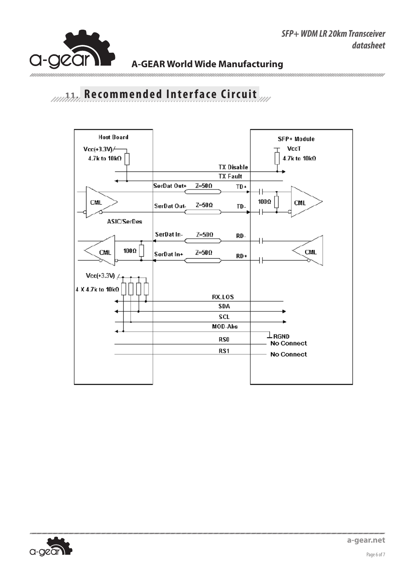**Rev: 1.000** 



#### **A-GEAR World Wide Manufacturing**

**11. Recommended Interface Circuit 7. Recommended Interface Circuit**